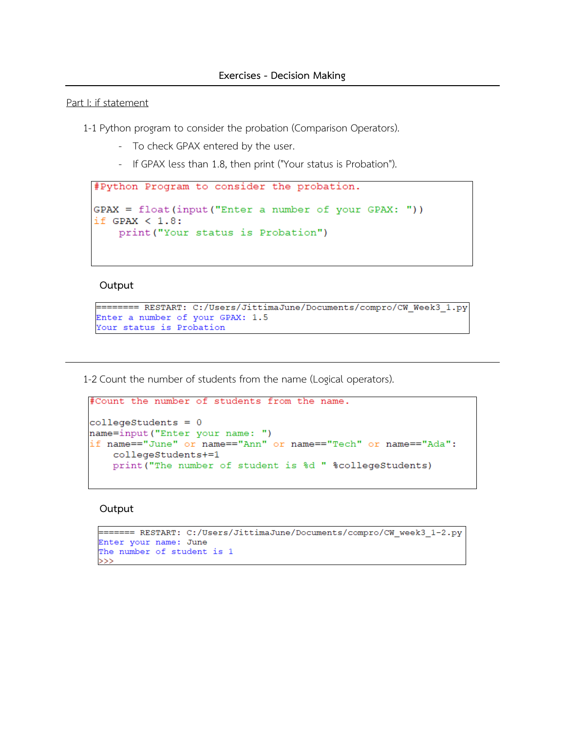#### Part I: if statement

1-1 Python program to consider the probation (Comparison Operators).

- To check GPAX entered by the user.
- If GPAX less than 1.8, then print ("Your status is Probation").

```
#Python Program to consider the probation.
GPAX = float(input("Enter a number of your GPAX: "))if GPAX < 1.8:
    print ("Your status is Probation")
```
#### **Output**

```
======== RESTART: C:/Users/JittimaJune/Documents/compro/CW Week3 1.py
Enter a number of your GPAX: 1.5
Your status is Probation
```
1-2 Count the number of students from the name (Logical operators).

```
#Count the number of students from the name.
collegestudents = 0name=input ("Enter your name: ")
if name=="June" or name=="Ann" or name=="Tech" or name=="Ada":
    collegeStudents+=1
    print ("The number of student is %d " %collegeStudents)
```

```
======= RESTART: C:/Users/JittimaJune/Documents/compro/CW week3 1-2.py
Enter your name: June
The number of student is 1
>>>
```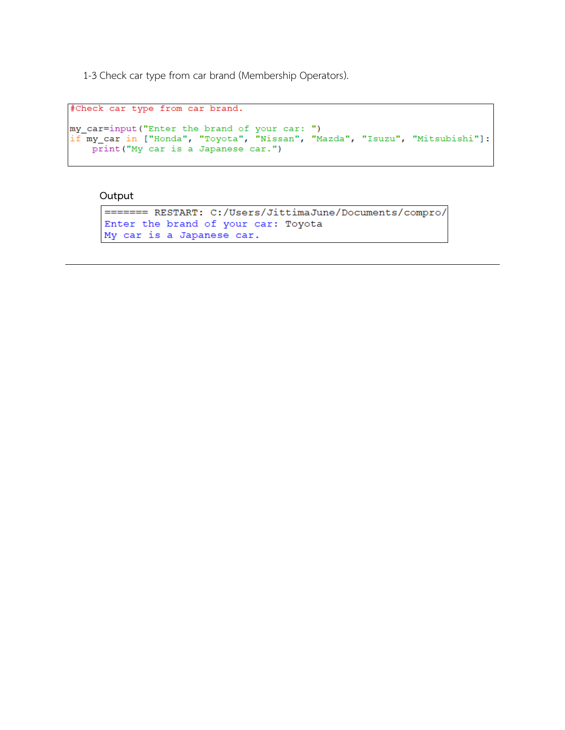1-3 Check car type from car brand (Membership Operators).

```
#Check car type from car brand.
my_car=input("Enter the brand of your car: ")
if my car in ["Honda", "Toyota", "Nissan", "Mazda", "Isuzu", "Mitsubishi"]:
    print ("My car is a Japanese car.")
```

```
======= RESTART: C:/Users/JittimaJune/Documents/compro/
Enter the brand of your car: Toyota
My car is a Japanese car.
```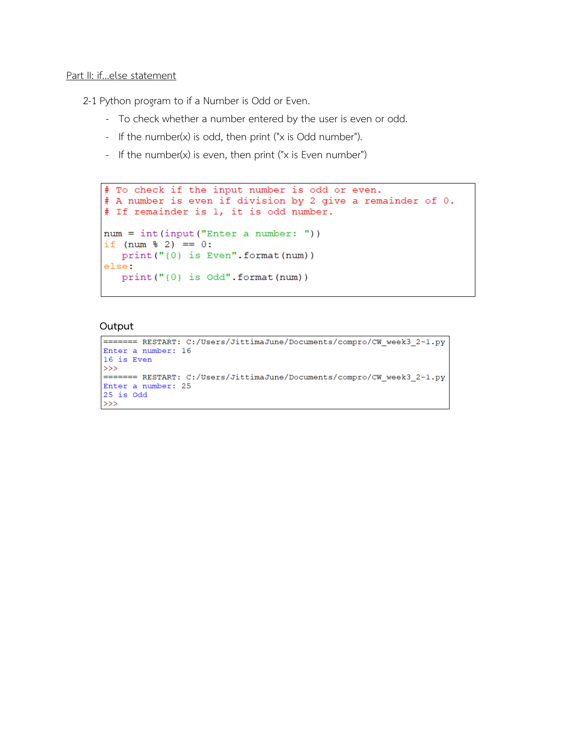## Part II: if...else statement

2-1 Python program to if a Number is Odd or Even.

- To check whether a number entered by the user is even or odd.
- If the number(x) is odd, then print ("x is Odd number").
- If the number(x) is even, then print ("x is Even number")

```
# To check if the input number is odd or even.
# A number is even if division by 2 give a remainder of 0.
# If remainder is 1, it is odd number.
num = int(input("Enter a number: "))if (num \frac{1}{2} 2) == 0:
  print ("{0} is Even". format (num))
else:
   print("0) is Odd". format (num))
```

```
======= RESTART: C:/Users/JittimaJune/Documents/compro/CW week3 2-1.py
Enter a number: 16
16 is Even
\gg======= RESTART: C:/Users/JittimaJune/Documents/compro/CW week3 2-1.py
Enter a number: 25
25 is Odd>>>
```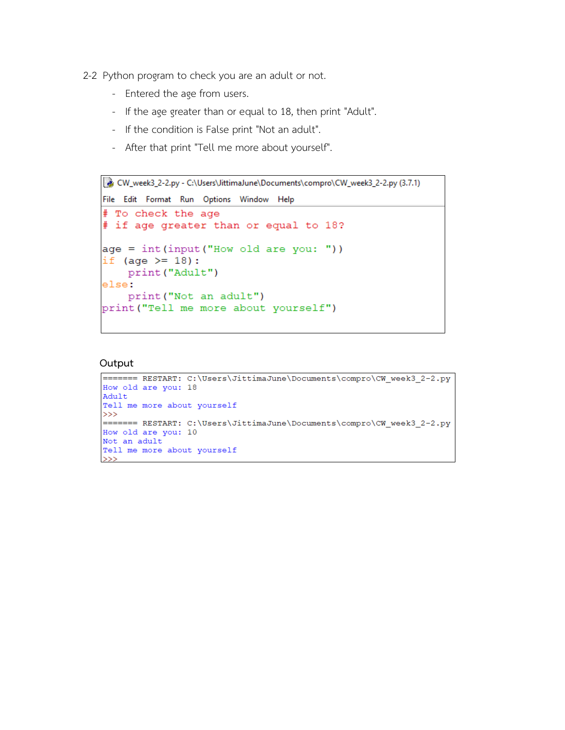- 2-2 Python program to check you are an adult or not.
	- Entered the age from users.
	- If the age greater than or equal to 18, then print "Adult".
	- If the condition is False print "Not an adult".
	- After that print "Tell me more about yourself".

```
& CW_week3_2-2.py - C:\Users\JittimaJune\Documents\compro\CW_week3_2-2.py (3.7.1)
File Edit Format Run Options Window Help
# To check the age
# if age greater than or equal to 18?
age = int(input("How old are you: "))if (age >= 18):
    print ("Adult")
else:
    print ("Not an adult")
print ("Tell me more about yourself")
```

```
======= RESTART: C:\Users\JittimaJune\Documents\compro\CW_week3_2-2.py
How old are you: 18
Adult
Tell me more about yourself
>>>======= RESTART: C:\Users\JittimaJune\Documents\compro\CW week3 2-2.py
How old are you: 10
Not an adult
Tell me more about yourself
>>>
```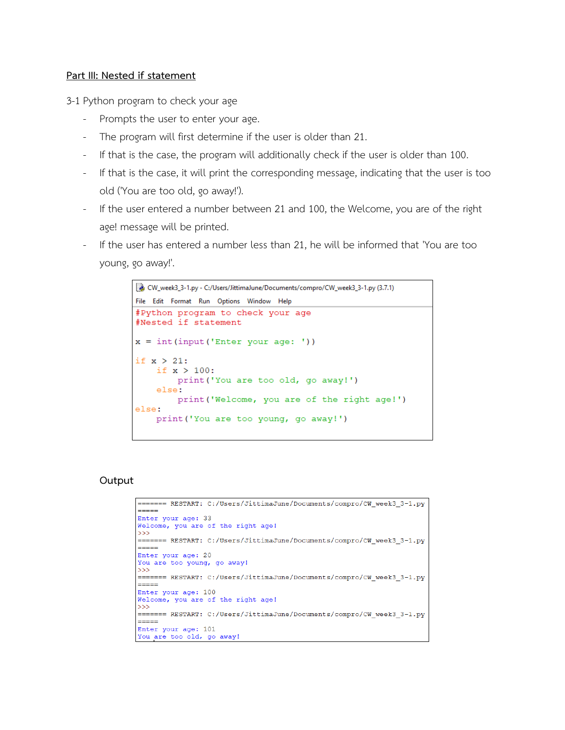## **Part III: Nested if statement**

3-1 Python program to check your age

- Prompts the user to enter your age.
- The program will first determine if the user is older than 21.
- If that is the case, the program will additionally check if the user is older than 100.
- If that is the case, it will print the corresponding message, indicating that the user is too old ('You are too old, go away!').
- If the user entered a number between 21 and 100, the Welcome, you are of the right age! message will be printed.
- If the user has entered a number less than 21, he will be informed that 'You are too young, go away!'.

```
CW_week3_3-1.py - C:/Users/JittimaJune/Documents/compro/CW_week3_3-1.py (3.7.1)
File Edit Format Run Options Window Help
#Python program to check your age
#Nested if statement
x = int(input('Enter your age: '))if x > 21:
    if x > 100:
        print ('You are too old, go away!')
    else:
       print ('Welcome, you are of the right age!')
else:
    print ('You are too young, go away!')
```

```
======= RESTART: C:/Users/JittimaJune/Documents/compro/CW_week3_3-1.py
-----
Enter your age: 33
Welcome, you are of the right age!
>>======= RESTART: C:/Users/JittimaJune/Documents/compro/CW week3_3-1.py
فالمنافذ
Enter your age: 20
You are too young, go away!
\gg======= RESTART: C:/Users/JittimaJune/Documents/compro/CW week3 3-1.py
-----
Enter your age: 100
Welcome, you are of the right age!
>>======= RESTART: C:/Users/JittimaJune/Documents/compro/CW_week3_3-1.py
=====
Enter your age: 101
You are too old, go away!
```